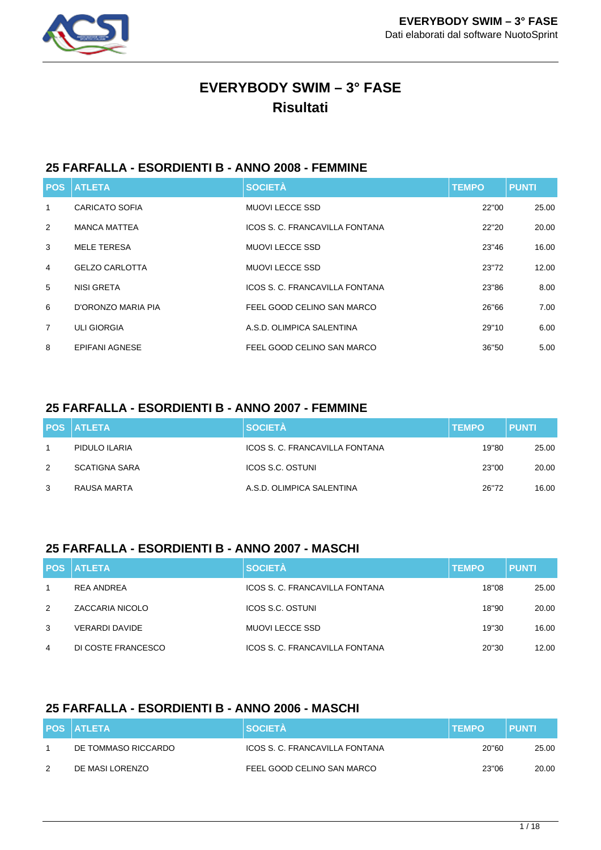

# **EVERYBODY SWIM – 3° FASE Risultati**

## **25 FARFALLA - ESORDIENTI B - ANNO 2008 - FEMMINE**

|                | <b>POS ATLETA</b>     | <b>SOCIETÀ</b>                 | <b>TEMPO</b> | <b>PUNTI</b> |
|----------------|-----------------------|--------------------------------|--------------|--------------|
| 1              | <b>CARICATO SOFIA</b> | <b>MUOVI LECCE SSD</b>         | 22"00        | 25.00        |
| 2              | <b>MANCA MATTEA</b>   | ICOS S. C. FRANCAVILLA FONTANA | 22"20        | 20.00        |
| 3              | <b>MELE TERESA</b>    | <b>MUOVI LECCE SSD</b>         | 23"46        | 16.00        |
| $\overline{4}$ | <b>GELZO CARLOTTA</b> | MUOVI LECCE SSD                | 23"72        | 12.00        |
| 5              | NISI GRETA            | ICOS S. C. FRANCAVILLA FONTANA | 23"86        | 8.00         |
| 6              | D'ORONZO MARIA PIA    | FEEL GOOD CELINO SAN MARCO     | 26"66        | 7.00         |
| $\overline{7}$ | <b>ULI GIORGIA</b>    | A.S.D. OLIMPICA SALENTINA      | 29"10        | 6.00         |
| 8              | <b>EPIFANI AGNESE</b> | FEEL GOOD CELINO SAN MARCO     | 36"50        | 5.00         |

## **25 FARFALLA - ESORDIENTI B - ANNO 2007 - FEMMINE**

|   | <b>POS ATLETA</b>    | <b>SOCIETÀ</b>                 | <b>TEMPO</b> | <b>PUNTI</b> |
|---|----------------------|--------------------------------|--------------|--------------|
|   | PIDULO ILARIA        | ICOS S. C. FRANCAVILLA FONTANA | 19"80        | 25.00        |
| 2 | <b>SCATIGNA SARA</b> | ICOS S.C. OSTUNI               | 23"00        | 20.00        |
| 3 | RAUSA MARTA          | A.S.D. OLIMPICA SALENTINA      | 26"72        | 16.00        |

## **25 FARFALLA - ESORDIENTI B - ANNO 2007 - MASCHI**

|   | <b>POS ATLETA</b>  | <b>SOCIETÀ</b>                 | <b>TEMPO</b> | <b>PUNTI</b> |
|---|--------------------|--------------------------------|--------------|--------------|
|   | <b>REA ANDREA</b>  | ICOS S. C. FRANCAVILLA FONTANA | 18"08        | 25.00        |
| 2 | ZACCARIA NICOLO    | <b>ICOS S.C. OSTUNI</b>        | 18"90        | 20.00        |
| 3 | VERARDI DAVIDE     | MUOVI LECCE SSD                | 19"30        | 16.00        |
| 4 | DI COSTE FRANCESCO | ICOS S. C. FRANCAVILLA FONTANA | 20"30        | 12.00        |

## **25 FARFALLA - ESORDIENTI B - ANNO 2006 - MASCHI**

|   | <b>POS ATLETA</b>   | <b>SOCIETA</b>                 | <b>TEMPO</b> | <b>PUNTI</b> |
|---|---------------------|--------------------------------|--------------|--------------|
|   | DE TOMMASO RICCARDO | ICOS S. C. FRANCAVILLA FONTANA | 20"60        | 25.00        |
| 2 | DE MASI LORENZO     | FEEL GOOD CELINO SAN MARCO     | 23"06        | 20.00        |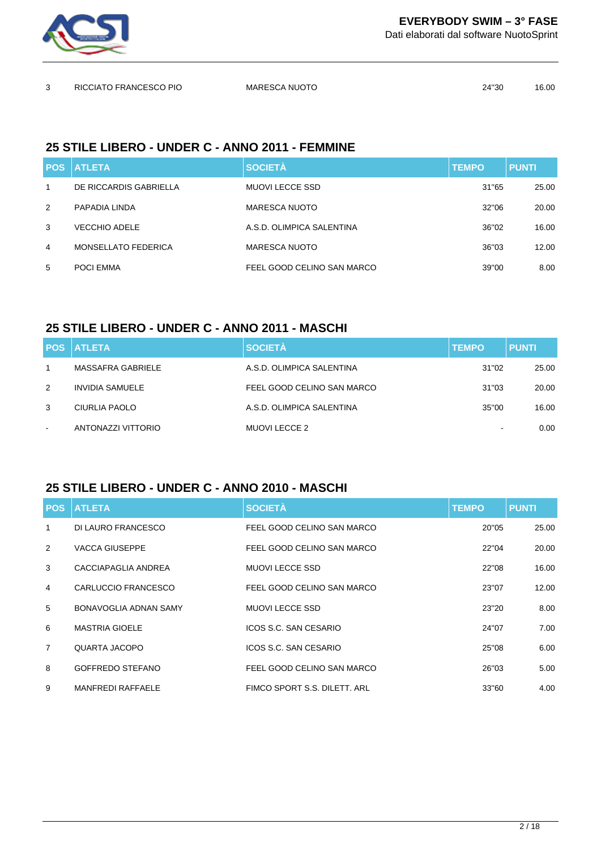

Dati elaborati dal software NuotoSprint

| ર | RICCIATO FRANCESCO PIO | <b>MARESCA NUOTO</b> | 24"30 | 16.00 |
|---|------------------------|----------------------|-------|-------|
|   |                        |                      |       |       |

## **25 STILE LIBERO - UNDER C - ANNO 2011 - FEMMINE**

|               | <b>POS ATLETA</b>          | <b>SOCIETÀ</b>             | <b>TEMPO</b> | <b>PUNTI</b> |
|---------------|----------------------------|----------------------------|--------------|--------------|
| 1             | DE RICCARDIS GABRIELLA     | <b>MUOVI LECCE SSD</b>     | 31"65        | 25.00        |
| $\mathcal{P}$ | PAPADIA LINDA              | <b>MARESCA NUOTO</b>       | 32"06        | 20.00        |
| 3             | <b>VECCHIO ADELE</b>       | A.S.D. OLIMPICA SALENTINA  | 36"02        | 16.00        |
| 4             | <b>MONSELLATO FEDERICA</b> | <b>MARESCA NUOTO</b>       | 36"03        | 12.00        |
| 5             | POCI EMMA                  | FEEL GOOD CELINO SAN MARCO | 39"00        | 8.00         |

## **25 STILE LIBERO - UNDER C - ANNO 2011 - MASCHI**

|                          | <b>POS ATLETA</b>  | <b>SOCIETÀ</b>             | <b>TEMPO</b>             | <b>PUNTI</b> |
|--------------------------|--------------------|----------------------------|--------------------------|--------------|
|                          | MASSAFRA GABRIELE  | A.S.D. OLIMPICA SALENTINA  | 31"02                    | 25.00        |
| 2                        | INVIDIA SAMUELE    | FEEL GOOD CELINO SAN MARCO | 31"03                    | 20.00        |
| 3                        | CIURLIA PAOLO      | A.S.D. OLIMPICA SALENTINA  | 35"00                    | 16.00        |
| $\overline{\phantom{a}}$ | ANTONAZZI VITTORIO | MUOVI LECCE 2              | $\overline{\phantom{a}}$ | 0.00         |

## **25 STILE LIBERO - UNDER C - ANNO 2010 - MASCHI**

|                | <b>POS ATLETA</b>        | <b>SOCIETÀ</b>               | <b>TEMPO</b> | <b>PUNTI</b> |
|----------------|--------------------------|------------------------------|--------------|--------------|
| $\mathbf{1}$   | DI LAURO FRANCESCO       | FEEL GOOD CELINO SAN MARCO   | 20"05        | 25.00        |
| $\mathcal{P}$  | <b>VACCA GIUSEPPE</b>    | FEEL GOOD CELINO SAN MARCO   | 22"04        | 20.00        |
| 3              | CACCIAPAGLIA ANDREA      | <b>MUOVI LECCE SSD</b>       | 22"08        | 16.00        |
| $\overline{4}$ | CARLUCCIO FRANCESCO      | FEEL GOOD CELINO SAN MARCO   | 23"07        | 12.00        |
| 5              | BONAVOGLIA ADNAN SAMY    | MUOVI LECCE SSD              | 23"20        | 8.00         |
| 6              | <b>MASTRIA GIOELE</b>    | ICOS S.C. SAN CESARIO        | 24"07        | 7.00         |
| $\overline{7}$ | QUARTA JACOPO            | ICOS S.C. SAN CESARIO        | 25"08        | 6.00         |
| 8              | GOFFREDO STEFANO         | FEEL GOOD CELINO SAN MARCO   | 26"03        | 5.00         |
| 9              | <b>MANFREDI RAFFAELE</b> | FIMCO SPORT S.S. DILETT. ARL | 33"60        | 4.00         |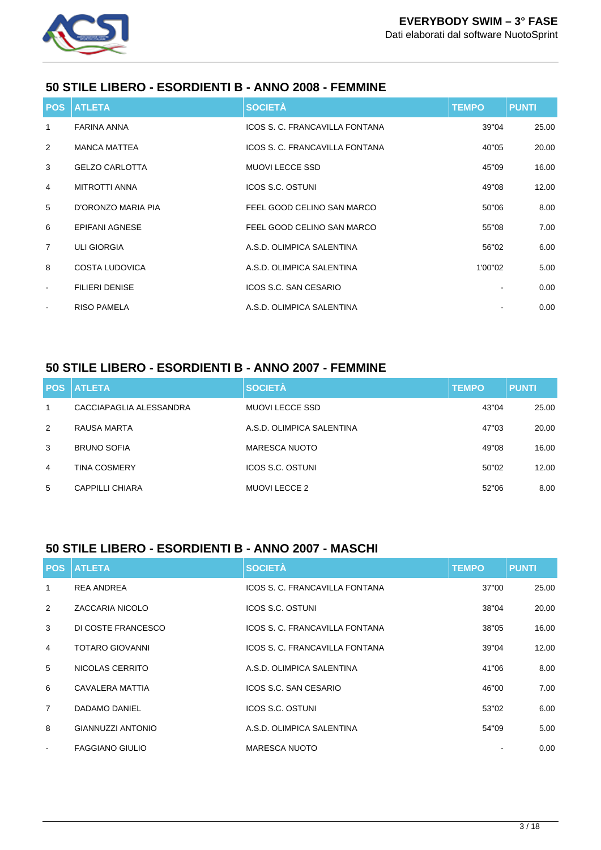

## **50 STILE LIBERO - ESORDIENTI B - ANNO 2008 - FEMMINE**

|                | <b>POS ATLETA</b>     | <b>SOCIETÀ</b>                 | <b>TEMPO</b> | <b>PUNTI</b> |
|----------------|-----------------------|--------------------------------|--------------|--------------|
| $\mathbf{1}$   | <b>FARINA ANNA</b>    | ICOS S. C. FRANCAVILLA FONTANA | 39"04        | 25.00        |
| 2              | <b>MANCA MATTEA</b>   | ICOS S. C. FRANCAVILLA FONTANA | 40"05        | 20.00        |
| 3              | <b>GELZO CARLOTTA</b> | <b>MUOVI LECCE SSD</b>         | 45"09        | 16.00        |
| $\overline{4}$ | <b>MITROTTI ANNA</b>  | <b>ICOS S.C. OSTUNI</b>        | 49"08        | 12.00        |
| 5              | D'ORONZO MARIA PIA    | FEEL GOOD CELINO SAN MARCO     | 50"06        | 8.00         |
| 6              | <b>EPIFANI AGNESE</b> | FEEL GOOD CELINO SAN MARCO     | 55"08        | 7.00         |
| $\overline{7}$ | <b>ULI GIORGIA</b>    | A.S.D. OLIMPICA SALENTINA      | 56"02        | 6.00         |
| 8              | <b>COSTA LUDOVICA</b> | A.S.D. OLIMPICA SALENTINA      | 1'00"02      | 5.00         |
| $\sim$         | <b>FILIERI DENISE</b> | ICOS S.C. SAN CESARIO          |              | 0.00         |
| $\blacksquare$ | <b>RISO PAMELA</b>    | A.S.D. OLIMPICA SALENTINA      |              | 0.00         |

### **50 STILE LIBERO - ESORDIENTI B - ANNO 2007 - FEMMINE**

|   | <b>POS ATLETA</b>       | <b>SOCIETÀ</b>            | <b>TEMPO</b> | <b>PUNTI</b> |
|---|-------------------------|---------------------------|--------------|--------------|
| 1 | CACCIAPAGLIA ALESSANDRA | <b>MUOVI LECCE SSD</b>    | 43"04        | 25.00        |
| 2 | RAUSA MARTA             | A.S.D. OLIMPICA SALENTINA | 47"03        | 20.00        |
| 3 | <b>BRUNO SOFIA</b>      | <b>MARESCA NUOTO</b>      | 49"08        | 16.00        |
| 4 | <b>TINA COSMERY</b>     | ICOS S.C. OSTUNI          | 50"02        | 12.00        |
| 5 | CAPPILLI CHIARA         | MUOVI LECCE 2             | 52"06        | 8.00         |

## **50 STILE LIBERO - ESORDIENTI B - ANNO 2007 - MASCHI**

|                | <b>POS ATLETA</b>        | <b>SOCIETÀ</b>                 | <b>TEMPO</b> | <b>PUNTI</b> |
|----------------|--------------------------|--------------------------------|--------------|--------------|
| 1              | <b>REA ANDREA</b>        | ICOS S. C. FRANCAVILLA FONTANA | 37"00        | 25.00        |
| 2              | <b>ZACCARIA NICOLO</b>   | ICOS S.C. OSTUNI               | 38"04        | 20.00        |
| 3              | DI COSTE FRANCESCO       | ICOS S. C. FRANCAVILLA FONTANA | 38"05        | 16.00        |
| 4              | <b>TOTARO GIOVANNI</b>   | ICOS S. C. FRANCAVILLA FONTANA | 39"04        | 12.00        |
| 5              | NICOLAS CERRITO          | A.S.D. OLIMPICA SALENTINA      | 41"06        | 8.00         |
| 6              | CAVALERA MATTIA          | ICOS S.C. SAN CESARIO          | 46"00        | 7.00         |
| $\overline{7}$ | DADAMO DANIEL            | ICOS S.C. OSTUNI               | 53"02        | 6.00         |
| 8              | <b>GIANNUZZI ANTONIO</b> | A.S.D. OLIMPICA SALENTINA      | 54"09        | 5.00         |
| $\blacksquare$ | <b>FAGGIANO GIULIO</b>   | MARESCA NUOTO                  |              | 0.00         |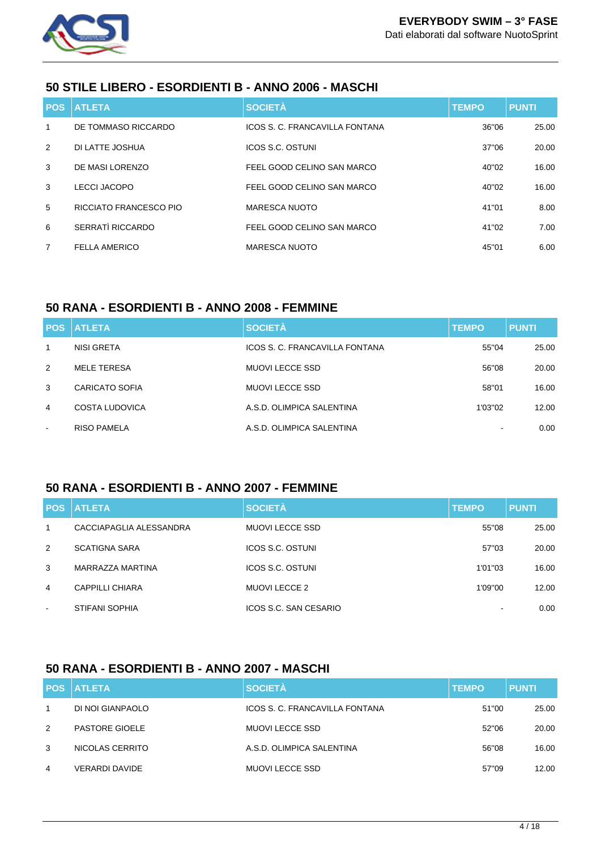

## **50 STILE LIBERO - ESORDIENTI B - ANNO 2006 - MASCHI**

|                | <b>POS ATLETA</b>      | <b>SOCIETÀ</b>                 | <b>TEMPO</b> | <b>PUNTI</b> |
|----------------|------------------------|--------------------------------|--------------|--------------|
| 1              | DE TOMMASO RICCARDO    | ICOS S. C. FRANCAVILLA FONTANA | 36"06        | 25.00        |
| 2              | DI LATTE JOSHUA        | ICOS S.C. OSTUNI               | 37"06        | 20.00        |
| 3              | DE MASI LORENZO        | FEEL GOOD CELINO SAN MARCO     | 40"02        | 16.00        |
| 3              | LECCI JACOPO           | FEEL GOOD CELINO SAN MARCO     | 40"02        | 16.00        |
| 5              | RICCIATO FRANCESCO PIO | <b>MARESCA NUOTO</b>           | 41"01        | 8.00         |
| 6              | SERRATÌ RICCARDO       | FEEL GOOD CELINO SAN MARCO     | 41"02        | 7.00         |
| $\overline{7}$ | <b>FELLA AMERICO</b>   | <b>MARESCA NUOTO</b>           | 45"01        | 6.00         |

## **50 RANA - ESORDIENTI B - ANNO 2008 - FEMMINE**

|                | <b>POS ATLETA</b>     | <b>SOCIETÀ</b>                 | <b>TEMPO</b> | <b>PUNTI</b> |
|----------------|-----------------------|--------------------------------|--------------|--------------|
| 1              | NISI GRETA            | ICOS S. C. FRANCAVILLA FONTANA | 55"04        | 25.00        |
| 2              | MELE TERESA           | <b>MUOVI LECCE SSD</b>         | 56"08        | 20.00        |
| 3              | <b>CARICATO SOFIA</b> | MUOVI LECCE SSD                | 58"01        | 16.00        |
| 4              | COSTA LUDOVICA        | A.S.D. OLIMPICA SALENTINA      | 1'03"02      | 12.00        |
| $\blacksquare$ | <b>RISO PAMELA</b>    | A.S.D. OLIMPICA SALENTINA      |              | 0.00         |

## **50 RANA - ESORDIENTI B - ANNO 2007 - FEMMINE**

|                | <b>IPOS ATLETA</b>      | <b>SOCIETÀ</b>          | <b>TEMPO</b> | <b>PUNTI</b> |
|----------------|-------------------------|-------------------------|--------------|--------------|
| 1              | CACCIAPAGLIA ALESSANDRA | <b>MUOVI LECCE SSD</b>  | 55"08        | 25.00        |
| 2              | <b>SCATIGNA SARA</b>    | <b>ICOS S.C. OSTUNI</b> | 57"03        | 20.00        |
| 3              | MARRAZZA MARTINA        | ICOS S.C. OSTUNI        | 1'01"03      | 16.00        |
| 4              | CAPPILLI CHIARA         | MUOVI LECCE 2           | 1'09"00      | 12.00        |
| $\blacksquare$ | STIFANI SOPHIA          | ICOS S.C. SAN CESARIO   |              | 0.00         |

## **50 RANA - ESORDIENTI B - ANNO 2007 - MASCHI**

|   | <b>POS ATLETA</b>     | <b>SOCIETÀ</b>                 | <b>TEMPO</b> | <b>PUNTI</b> |
|---|-----------------------|--------------------------------|--------------|--------------|
|   | DI NOI GIANPAOLO      | ICOS S. C. FRANCAVILLA FONTANA | 51"00        | 25.00        |
| 2 | <b>PASTORE GIOELE</b> | <b>MUOVI LECCE SSD</b>         | 52"06        | 20.00        |
| 3 | NICOLAS CERRITO       | A.S.D. OLIMPICA SALENTINA      | 56"08        | 16.00        |
| 4 | <b>VERARDI DAVIDE</b> | <b>MUOVI LECCE SSD</b>         | 57"09        | 12.00        |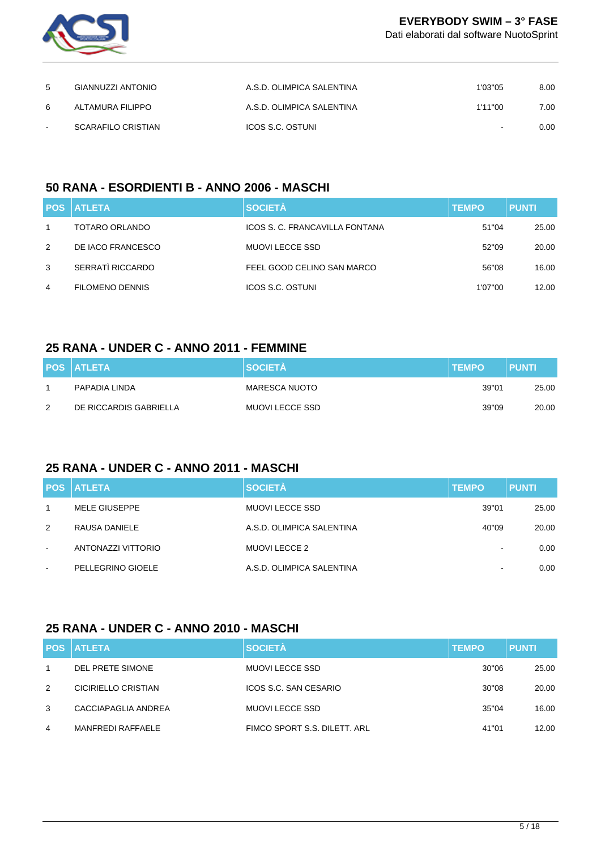

Dati elaborati dal software NuotoSprint

| -5     | GIANNUZZI ANTONIO         | A.S.D. OLIMPICA SALENTINA | 1'03"05 | 8.00 |
|--------|---------------------------|---------------------------|---------|------|
| 6      | ALTAMURA FILIPPO          | A.S.D. OLIMPICA SALENTINA | 1'11"00 | 7.00 |
| $\sim$ | <b>SCARAFILO CRISTIAN</b> | ICOS S.C. OSTUNI          | $\sim$  | 0.00 |

## **50 RANA - ESORDIENTI B - ANNO 2006 - MASCHI**

|   | <b>POS ATLETA</b>      | <b>SOCIETÀ</b>                 | <b>TEMPO</b> | <b>PUNTI</b> |
|---|------------------------|--------------------------------|--------------|--------------|
|   | TOTARO ORLANDO         | ICOS S. C. FRANCAVILLA FONTANA | 51"04        | 25.00        |
| 2 | DE IACO FRANCESCO      | MUOVI LECCE SSD                | 52"09        | 20.00        |
| 3 | SERRATÌ RICCARDO       | FEEL GOOD CELINO SAN MARCO     | 56"08        | 16.00        |
| 4 | <b>FILOMENO DENNIS</b> | ICOS S.C. OSTUNI               | 1'07"00      | 12.00        |

#### **25 RANA - UNDER C - ANNO 2011 - FEMMINE**

|   | <b>POS ATLETA</b>      | <b>SOCIETA</b>  | <b>TEMPO</b> | <b>PUNTI</b> |
|---|------------------------|-----------------|--------------|--------------|
|   | PAPADIA LINDA          | MARESCA NUOTO   | 39"01        | 25.00        |
| 2 | DE RICCARDIS GABRIELLA | MUOVI LECCE SSD | 39"09        | 20.00        |

#### **25 RANA - UNDER C - ANNO 2011 - MASCHI**

|        | <b>POS ATLETA</b>  | <b>SOCIETÀ</b>            | <b>TEMPO</b>             | <b>PUNTI</b> |
|--------|--------------------|---------------------------|--------------------------|--------------|
|        | MELE GIUSEPPE      | <b>MUOVI LECCE SSD</b>    | 39"01                    | 25.00        |
| 2      | RAUSA DANIELE      | A.S.D. OLIMPICA SALENTINA | 40"09                    | 20.00        |
| $\sim$ | ANTONAZZI VITTORIO | MUOVI LECCE 2             |                          | 0.00         |
| $\sim$ | PELLEGRINO GIOELE  | A.S.D. OLIMPICA SALENTINA | $\overline{\phantom{a}}$ | 0.00         |

## **25 RANA - UNDER C - ANNO 2010 - MASCHI**

|    | <b>POS ATLETA</b>        | <b>SOCIETÀ</b>               | <b>TEMPO</b> | <b>PUNTI</b> |
|----|--------------------------|------------------------------|--------------|--------------|
| -1 | DEL PRETE SIMONE         | MUOVI LECCE SSD              | 30"06        | 25.00        |
| 2  | CICIRIELLO CRISTIAN      | ICOS S.C. SAN CESARIO        | 30"08        | 20.00        |
| 3  | CACCIAPAGLIA ANDREA      | MUOVI LECCE SSD              | 35"04        | 16.00        |
| 4  | <b>MANFREDI RAFFAELE</b> | FIMCO SPORT S.S. DILETT. ARL | 41"01        | 12.00        |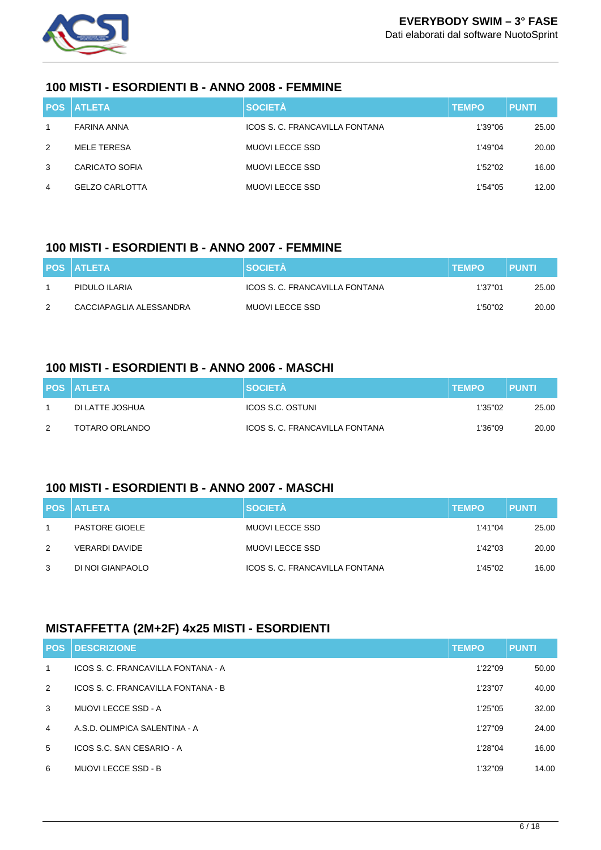

#### **100 MISTI - ESORDIENTI B - ANNO 2008 - FEMMINE**

|   | <b>POS ATLETA</b>     | <b>SOCIETÀ</b>                 | <b>TEMPO</b> | <b>PUNTI</b> |
|---|-----------------------|--------------------------------|--------------|--------------|
|   | FARINA ANNA           | ICOS S. C. FRANCAVILLA FONTANA | 1'39"06      | 25.00        |
| 2 | MELE TERESA           | MUOVI LECCE SSD                | 1'49"04      | 20.00        |
| 3 | CARICATO SOFIA        | MUOVI LECCE SSD                | 1'52"02      | 16.00        |
| 4 | <b>GELZO CARLOTTA</b> | MUOVI LECCE SSD                | 1'54"05      | 12.00        |

#### **100 MISTI - ESORDIENTI B - ANNO 2007 - FEMMINE**

|   | <b>POS ATLETA</b>       | <b>SOCIETA</b>                 | <b>ITEMPO</b> | <b>PUNTI</b> |
|---|-------------------------|--------------------------------|---------------|--------------|
|   | PIDULO ILARIA           | ICOS S. C. FRANCAVILLA FONTANA | 1'37"01       | 25.00        |
| 2 | CACCIAPAGLIA ALESSANDRA | MUOVI LECCE SSD                | 1'50"02       | 20.00        |

## **100 MISTI - ESORDIENTI B - ANNO 2006 - MASCHI**

|               | <b>POS ATLETA</b> | <b>SOCIETA</b>                 | <b>ITEMPO</b> | <b>PUNTI</b> |
|---------------|-------------------|--------------------------------|---------------|--------------|
|               | DI LATTE JOSHUA   | ICOS S.C. OSTUNI               | 1'35"02       | 25.00        |
| $\mathcal{P}$ | TOTARO ORLANDO    | ICOS S. C. FRANCAVILLA FONTANA | 1'36"09       | 20.00        |

### **100 MISTI - ESORDIENTI B - ANNO 2007 - MASCHI**

|   | <b>POS ATLETA</b>     | <b>SOCIETÀ</b>                 | <b>TEMPO</b> | <b>PUNTI</b> |
|---|-----------------------|--------------------------------|--------------|--------------|
|   | <b>PASTORE GIOELE</b> | MUOVI LECCE SSD                | 1'41"04      | 25.00        |
| 2 | VERARDI DAVIDE        | MUOVI LECCE SSD                | 1'42"03      | 20.00        |
| 3 | DI NOI GIANPAOLO      | ICOS S. C. FRANCAVILLA FONTANA | 1'45"02      | 16.00        |

## **MISTAFFETTA (2M+2F) 4x25 MISTI - ESORDIENTI**

| <b>POS</b>     | <b>DESCRIZIONE</b>                 | <b>TEMPO</b> | <b>PUNTI</b> |
|----------------|------------------------------------|--------------|--------------|
| $\mathbf{1}$   | ICOS S. C. FRANCAVILLA FONTANA - A | 1'22"09      | 50.00        |
| 2              | ICOS S. C. FRANCAVILLA FONTANA - B | 1'23"07      | 40.00        |
| 3              | MUOVI LECCE SSD - A                | 1'25"05      | 32.00        |
| $\overline{4}$ | A.S.D. OLIMPICA SALENTINA - A      | 1'27"09      | 24.00        |
| 5              | ICOS S.C. SAN CESARIO - A          | 1'28"04      | 16.00        |
| 6              | <b>MUOVI LECCE SSD - B</b>         | 1'32"09      | 14.00        |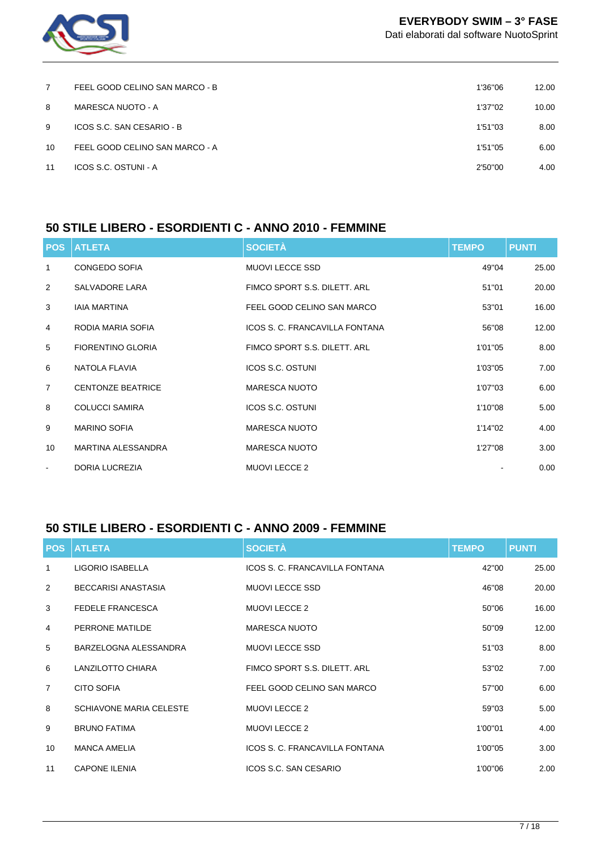

Dati elaborati dal software NuotoSprint

| 7  | FEEL GOOD CELINO SAN MARCO - B | 1'36"06 | 12.00 |
|----|--------------------------------|---------|-------|
| 8  | MARESCA NUOTO - A              | 1'37"02 | 10.00 |
| 9  | ICOS S.C. SAN CESARIO - B      | 1'51"03 | 8.00  |
| 10 | FEEL GOOD CELINO SAN MARCO - A | 1'51"05 | 6.00  |
| 11 | ICOS S.C. OSTUNI - A           | 2'50"00 | 4.00  |
|    |                                |         |       |

## **50 STILE LIBERO - ESORDIENTI C - ANNO 2010 - FEMMINE**

|                | <b>POS ATLETA</b>         | <b>SOCIETÀ</b>                 | <b>TEMPO</b> | <b>PUNTI</b> |
|----------------|---------------------------|--------------------------------|--------------|--------------|
| $\mathbf{1}$   | <b>CONGEDO SOFIA</b>      | <b>MUOVI LECCE SSD</b>         | 49"04        | 25.00        |
| 2              | SALVADORE LARA            | FIMCO SPORT S.S. DILETT. ARL   | 51"01        | 20.00        |
| 3              | <b>IAIA MARTINA</b>       | FEEL GOOD CELINO SAN MARCO     | 53"01        | 16.00        |
| $\overline{4}$ | RODIA MARIA SOFIA         | ICOS S. C. FRANCAVILLA FONTANA | 56"08        | 12.00        |
| 5              | <b>FIORENTINO GLORIA</b>  | FIMCO SPORT S.S. DILETT. ARL   | 1'01"05      | 8.00         |
| 6              | NATOLA FLAVIA             | <b>ICOS S.C. OSTUNI</b>        | 1'03"05      | 7.00         |
| $\overline{7}$ | <b>CENTONZE BEATRICE</b>  | <b>MARESCA NUOTO</b>           | 1'07"03      | 6.00         |
| 8              | <b>COLUCCI SAMIRA</b>     | <b>ICOS S.C. OSTUNI</b>        | 1'10"08      | 5.00         |
| 9              | <b>MARINO SOFIA</b>       | <b>MARESCA NUOTO</b>           | 1'14"02      | 4.00         |
| 10             | <b>MARTINA ALESSANDRA</b> | <b>MARESCA NUOTO</b>           | 1'27"08      | 3.00         |
| $\blacksquare$ | <b>DORIA LUCREZIA</b>     | <b>MUOVI LECCE 2</b>           |              | 0.00         |

## **50 STILE LIBERO - ESORDIENTI C - ANNO 2009 - FEMMINE**

| <b>POS</b>     | <b>ATLETA</b>                  | <b>SOCIETÀ</b>                 | <b>TEMPO</b> | <b>PUNTI</b> |
|----------------|--------------------------------|--------------------------------|--------------|--------------|
| 1              | LIGORIO ISABELLA               | ICOS S. C. FRANCAVILLA FONTANA | 42"00        | 25.00        |
| 2              | BECCARISI ANASTASIA            | <b>MUOVI LECCE SSD</b>         | 46"08        | 20.00        |
| 3              | <b>FEDELE FRANCESCA</b>        | <b>MUOVI LECCE 2</b>           | 50"06        | 16.00        |
| 4              | PERRONE MATILDE                | <b>MARESCA NUOTO</b>           | 50"09        | 12.00        |
| 5              | BARZELOGNA ALESSANDRA          | <b>MUOVI LECCE SSD</b>         | 51"03        | 8.00         |
| 6              | LANZILOTTO CHIARA              | FIMCO SPORT S.S. DILETT. ARL   | 53"02        | 7.00         |
| $\overline{7}$ | <b>CITO SOFIA</b>              | FEEL GOOD CELINO SAN MARCO     | 57"00        | 6.00         |
| 8              | <b>SCHIAVONE MARIA CELESTE</b> | <b>MUOVI LECCE 2</b>           | 59"03        | 5.00         |
| 9              | <b>BRUNO FATIMA</b>            | <b>MUOVI LECCE 2</b>           | 1'00"01      | 4.00         |
| 10             | <b>MANCA AMELIA</b>            | ICOS S. C. FRANCAVILLA FONTANA | 1'00"05      | 3.00         |
| 11             | <b>CAPONE ILENIA</b>           | ICOS S.C. SAN CESARIO          | 1'00"06      | 2.00         |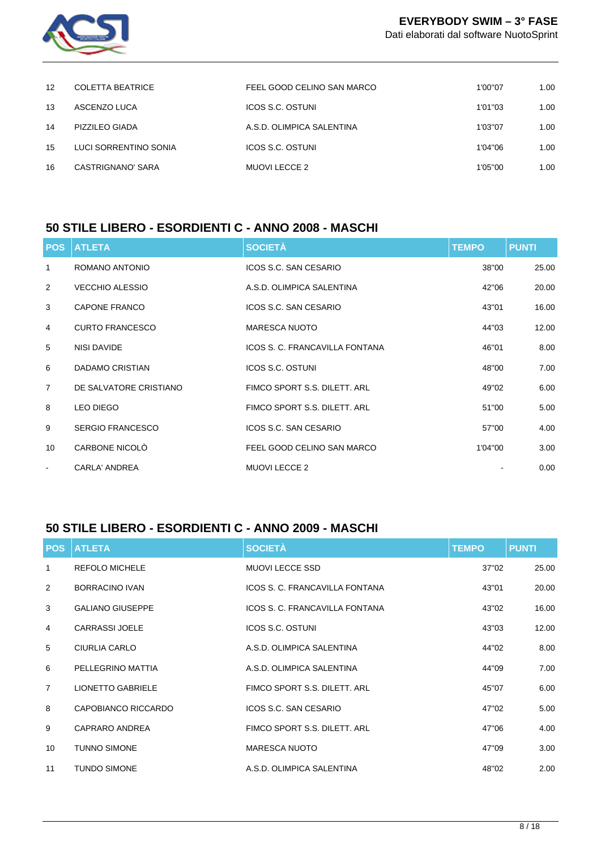

Dati elaborati dal software NuotoSprint

| $12 \overline{ }$ | <b>COLETTA BEATRICE</b> | FEEL GOOD CELINO SAN MARCO | 1'00"07  | 1.00 |
|-------------------|-------------------------|----------------------------|----------|------|
| 13                | ASCENZO LUCA            | <b>ICOS S.C. OSTUNI</b>    | 1'01''03 | 1.00 |
| 14                | PIZZILEO GIADA          | A.S.D. OLIMPICA SALENTINA  | 1'03"07  | 1.00 |
| 15                | LUCI SORRENTINO SONIA   | <b>ICOS S.C. OSTUNI</b>    | 1'04"06  | 1.00 |
| 16                | CASTRIGNANO' SARA       | <b>MUOVI LECCE 2</b>       | 1'05"00  | 1.00 |

## **50 STILE LIBERO - ESORDIENTI C - ANNO 2008 - MASCHI**

| <b>POS</b>     | <b>ATLETA</b>           | <b>SOCIETÀ</b>                 | <b>TEMPO</b> | <b>PUNTI</b> |
|----------------|-------------------------|--------------------------------|--------------|--------------|
| 1              | ROMANO ANTONIO          | ICOS S.C. SAN CESARIO          | 38"00        | 25.00        |
| 2              | <b>VECCHIO ALESSIO</b>  | A.S.D. OLIMPICA SALENTINA      | 42"06        | 20.00        |
| 3              | CAPONE FRANCO           | ICOS S.C. SAN CESARIO          | 43"01        | 16.00        |
| $\overline{4}$ | <b>CURTO FRANCESCO</b>  | <b>MARESCA NUOTO</b>           | 44"03        | 12.00        |
| 5              | NISI DAVIDE             | ICOS S. C. FRANCAVILLA FONTANA | 46"01        | 8.00         |
| 6              | DADAMO CRISTIAN         | <b>ICOS S.C. OSTUNI</b>        | 48"00        | 7.00         |
| $\overline{7}$ | DE SALVATORE CRISTIANO  | FIMCO SPORT S.S. DILETT. ARL   | 49"02        | 6.00         |
| 8              | <b>LEO DIEGO</b>        | FIMCO SPORT S.S. DILETT. ARL   | 51"00        | 5.00         |
| 9              | <b>SERGIO FRANCESCO</b> | ICOS S.C. SAN CESARIO          | 57"00        | 4.00         |
| 10             | CARBONE NICOLO          | FEEL GOOD CELINO SAN MARCO     | 1'04"00      | 3.00         |
| $\sim$         | <b>CARLA' ANDREA</b>    | <b>MUOVI LECCE 2</b>           |              | 0.00         |

## **50 STILE LIBERO - ESORDIENTI C - ANNO 2009 - MASCHI**

| <b>POS</b>     | <b>ATLETA</b>            | <b>SOCIETÀ</b>                 | <b>TEMPO</b> | <b>PUNTI</b> |
|----------------|--------------------------|--------------------------------|--------------|--------------|
| 1              | <b>REFOLO MICHELE</b>    | <b>MUOVI LECCE SSD</b>         | 37"02        | 25.00        |
| 2              | BORRACINO IVAN           | ICOS S. C. FRANCAVILLA FONTANA | 43"01        | 20.00        |
| 3              | <b>GALIANO GIUSEPPE</b>  | ICOS S. C. FRANCAVILLA FONTANA | 43"02        | 16.00        |
| 4              | <b>CARRASSI JOELE</b>    | <b>ICOS S.C. OSTUNI</b>        | 43"03        | 12.00        |
| 5              | CIURLIA CARLO            | A.S.D. OLIMPICA SALENTINA      | 44"02        | 8.00         |
| 6              | PELLEGRINO MATTIA        | A.S.D. OLIMPICA SALENTINA      | 44"09        | 7.00         |
| $\overline{7}$ | <b>LIONETTO GABRIELE</b> | FIMCO SPORT S.S. DILETT. ARL   | 45"07        | 6.00         |
| 8              | CAPOBIANCO RICCARDO      | ICOS S.C. SAN CESARIO          | 47"02        | 5.00         |
| 9              | <b>CAPRARO ANDREA</b>    | FIMCO SPORT S.S. DILETT. ARL   | 47"06        | 4.00         |
| 10             | <b>TUNNO SIMONE</b>      | <b>MARESCA NUOTO</b>           | 47"09        | 3.00         |
| 11             | <b>TUNDO SIMONE</b>      | A.S.D. OLIMPICA SALENTINA      | 48"02        | 2.00         |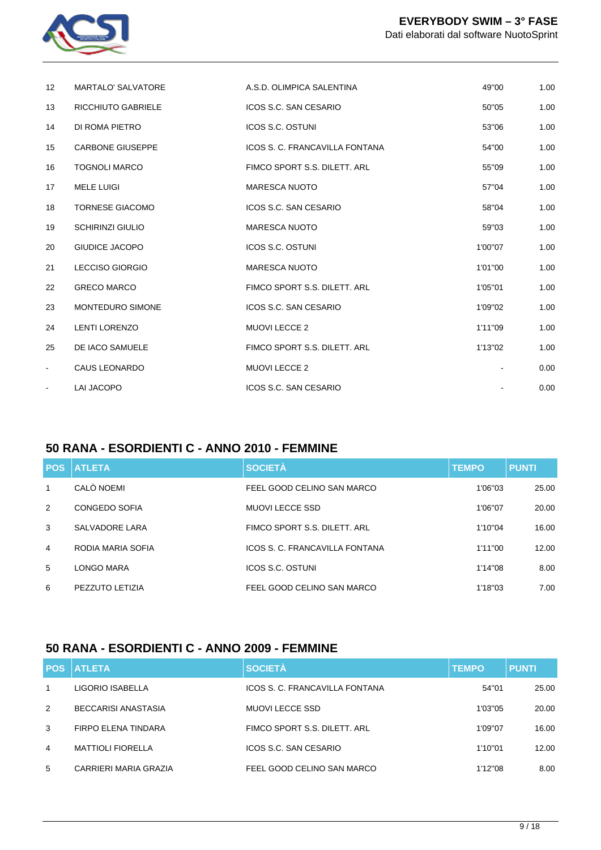

| 12             | <b>MARTALO' SALVATORE</b> | A.S.D. OLIMPICA SALENTINA      | 49"00   | 1.00 |
|----------------|---------------------------|--------------------------------|---------|------|
| 13             | <b>RICCHIUTO GABRIELE</b> | ICOS S.C. SAN CESARIO          | 50"05   | 1.00 |
| 14             | DI ROMA PIETRO            | ICOS S.C. OSTUNI               | 53"06   | 1.00 |
| 15             | <b>CARBONE GIUSEPPE</b>   | ICOS S. C. FRANCAVILLA FONTANA | 54"00   | 1.00 |
| 16             | <b>TOGNOLI MARCO</b>      | FIMCO SPORT S.S. DILETT. ARL   | 55"09   | 1.00 |
| 17             | <b>MELE LUIGI</b>         | <b>MARESCA NUOTO</b>           | 57"04   | 1.00 |
| 18             | <b>TORNESE GIACOMO</b>    | ICOS S.C. SAN CESARIO          | 58"04   | 1.00 |
| 19             | <b>SCHIRINZI GIULIO</b>   | <b>MARESCA NUOTO</b>           | 59"03   | 1.00 |
| 20             | <b>GIUDICE JACOPO</b>     | <b>ICOS S.C. OSTUNI</b>        | 1'00"07 | 1.00 |
| 21             | <b>LECCISO GIORGIO</b>    | <b>MARESCA NUOTO</b>           | 1'01"00 | 1.00 |
| 22             | <b>GRECO MARCO</b>        | FIMCO SPORT S.S. DILETT. ARL   | 1'05"01 | 1.00 |
| 23             | <b>MONTEDURO SIMONE</b>   | ICOS S.C. SAN CESARIO          | 1'09"02 | 1.00 |
| 24             | <b>LENTI LORENZO</b>      | <b>MUOVI LECCE 2</b>           | 1'11"09 | 1.00 |
| 25             | DE IACO SAMUELE           | FIMCO SPORT S.S. DILETT. ARL   | 1'13"02 | 1.00 |
| $\blacksquare$ | CAUS LEONARDO             | <b>MUOVI LECCE 2</b>           |         | 0.00 |
| $\blacksquare$ | <b>LAI JACOPO</b>         | ICOS S.C. SAN CESARIO          |         | 0.00 |

## **50 RANA - ESORDIENTI C - ANNO 2010 - FEMMINE**

|                | <b>POS ATLETA</b> | <b>SOCIETÀ</b>                 | <b>TEMPO</b> | <b>PUNTI</b> |
|----------------|-------------------|--------------------------------|--------------|--------------|
| $\mathbf{1}$   | CALÒ NOEMI        | FEEL GOOD CELINO SAN MARCO     | 1'06"03      | 25.00        |
| 2              | CONGEDO SOFIA     | MUOVI LECCE SSD                | 1'06"07      | 20.00        |
| 3              | SALVADORE LARA    | FIMCO SPORT S.S. DILETT. ARL   | 1'10"04      | 16.00        |
| $\overline{4}$ | RODIA MARIA SOFIA | ICOS S. C. FRANCAVILLA FONTANA | 1'11"00      | 12.00        |
| 5              | LONGO MARA        | ICOS S.C. OSTUNI               | 1'14"08      | 8.00         |
| 6              | PEZZUTO LETIZIA   | FEEL GOOD CELINO SAN MARCO     | 1'18"03      | 7.00         |

## **50 RANA - ESORDIENTI C - ANNO 2009 - FEMMINE**

|              | <b>POS ATLETA</b>        | <b>SOCIETÀ</b>                 | <b>TEMPO</b> | <b>PUNTI</b> |
|--------------|--------------------------|--------------------------------|--------------|--------------|
| $\mathbf{1}$ | LIGORIO ISABELLA         | ICOS S. C. FRANCAVILLA FONTANA | 54"01        | 25.00        |
| 2            | BECCARISI ANASTASIA      | <b>MUOVI LECCE SSD</b>         | 1'03"05      | 20.00        |
| 3            | FIRPO ELENA TINDARA      | FIMCO SPORT S.S. DILETT. ARL   | 1'09"07      | 16.00        |
| 4            | <b>MATTIOLI FIORELLA</b> | ICOS S.C. SAN CESARIO          | 1'10"01      | 12.00        |
| 5            | CARRIERI MARIA GRAZIA    | FEEL GOOD CELINO SAN MARCO     | 1'12"08      | 8.00         |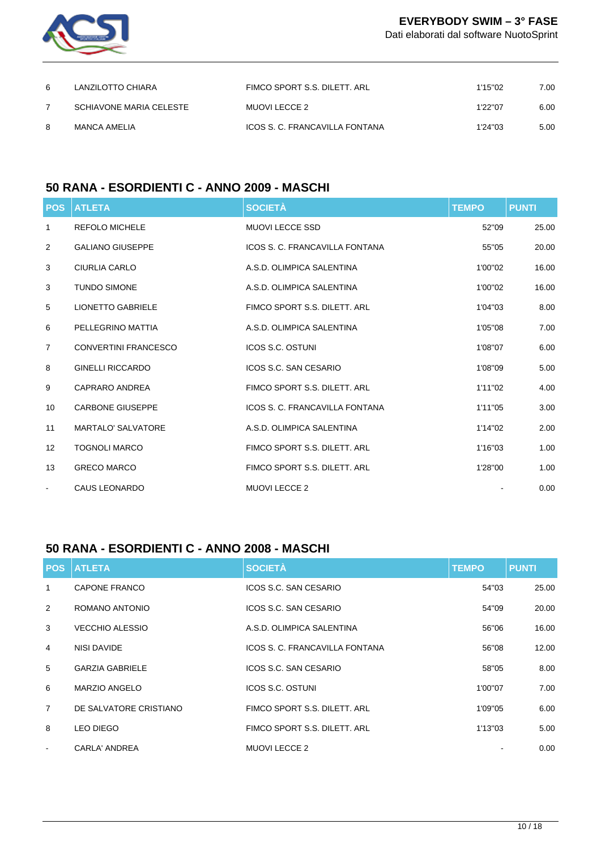

Dati elaborati dal software NuotoSprint

| 6 | LANZILOTTO CHIARA       | FIMCO SPORT S.S. DILETT. ARL   | 1'15"02  | 7.00 |
|---|-------------------------|--------------------------------|----------|------|
|   | SCHIAVONE MARIA CELESTE | MUOVI LECCE 2                  | 1'22"07  | 6.00 |
| 8 | MANCA AMELIA            | ICOS S. C. FRANCAVILLA FONTANA | 1'24''03 | 5.00 |

## **50 RANA - ESORDIENTI C - ANNO 2009 - MASCHI**

|                | <b>POS ATLETA</b>           | <b>SOCIETÀ</b>                 | <b>TEMPO</b> | <b>PUNTI</b> |
|----------------|-----------------------------|--------------------------------|--------------|--------------|
| 1              | <b>REFOLO MICHELE</b>       | <b>MUOVI LECCE SSD</b>         | 52"09        | 25.00        |
| 2              | <b>GALIANO GIUSEPPE</b>     | ICOS S. C. FRANCAVILLA FONTANA | 55"05        | 20.00        |
| 3              | <b>CIURLIA CARLO</b>        | A.S.D. OLIMPICA SALENTINA      | 1'00"02      | 16.00        |
| 3              | <b>TUNDO SIMONE</b>         | A.S.D. OLIMPICA SALENTINA      | 1'00"02      | 16.00        |
| 5              | <b>LIONETTO GABRIELE</b>    | FIMCO SPORT S.S. DILETT. ARL   | 1'04"03      | 8.00         |
| 6              | PELLEGRINO MATTIA           | A.S.D. OLIMPICA SALENTINA      | 1'05"08      | 7.00         |
| $\overline{7}$ | <b>CONVERTINI FRANCESCO</b> | <b>ICOS S.C. OSTUNI</b>        | 1'08"07      | 6.00         |
| 8              | <b>GINELLI RICCARDO</b>     | ICOS S.C. SAN CESARIO          | 1'08"09      | 5.00         |
| 9              | CAPRARO ANDREA              | FIMCO SPORT S.S. DILETT. ARL   | 1'11"02      | 4.00         |
| 10             | <b>CARBONE GIUSEPPE</b>     | ICOS S. C. FRANCAVILLA FONTANA | 1'11"05      | 3.00         |
| 11             | <b>MARTALO' SALVATORE</b>   | A.S.D. OLIMPICA SALENTINA      | 1'14"02      | 2.00         |
| 12             | <b>TOGNOLI MARCO</b>        | FIMCO SPORT S.S. DILETT. ARL   | 1'16"03      | 1.00         |
| 13             | <b>GRECO MARCO</b>          | FIMCO SPORT S.S. DILETT. ARL   | 1'28"00      | 1.00         |
| $\blacksquare$ | CAUS LEONARDO               | <b>MUOVI LECCE 2</b>           |              | 0.00         |

## **50 RANA - ESORDIENTI C - ANNO 2008 - MASCHI**

|                | <b>POS ATLETA</b>      | <b>SOCIETÀ</b>                 | <b>TEMPO</b> | <b>PUNTI</b> |
|----------------|------------------------|--------------------------------|--------------|--------------|
| 1              | CAPONE FRANCO          | ICOS S.C. SAN CESARIO          | 54"03        | 25.00        |
| $\mathcal{P}$  | ROMANO ANTONIO         | ICOS S.C. SAN CESARIO          | 54"09        | 20.00        |
| 3              | VECCHIO ALESSIO        | A.S.D. OLIMPICA SALENTINA      | 56"06        | 16.00        |
| $\overline{4}$ | NISI DAVIDE            | ICOS S. C. FRANCAVILLA FONTANA | 56"08        | 12.00        |
| 5              | <b>GARZIA GABRIELE</b> | ICOS S.C. SAN CESARIO          | 58"05        | 8.00         |
| 6              | MARZIO ANGELO          | ICOS S.C. OSTUNI               | 1'00"07      | 7.00         |
| $\overline{7}$ | DE SALVATORE CRISTIANO | FIMCO SPORT S.S. DILETT. ARL   | 1'09"05      | 6.00         |
| 8              | <b>LEO DIEGO</b>       | FIMCO SPORT S.S. DILETT. ARL   | 1'13"03      | 5.00         |
| $\sim$         | CARLA' ANDREA          | <b>MUOVI LECCE 2</b>           |              | 0.00         |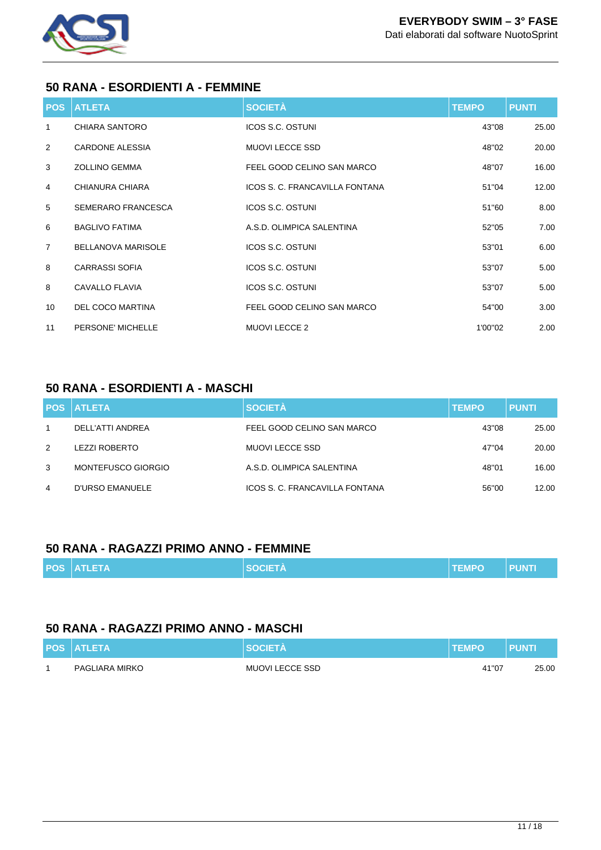

### **50 RANA - ESORDIENTI A - FEMMINE**

| <b>POS</b>     | <b>ATLETA</b>             | <b>SOCIETÀ</b>                 | <b>TEMPO</b> | <b>PUNTI</b> |
|----------------|---------------------------|--------------------------------|--------------|--------------|
| 1              | CHIARA SANTORO            | <b>ICOS S.C. OSTUNI</b>        | 43"08        | 25.00        |
| 2              | <b>CARDONE ALESSIA</b>    | <b>MUOVI LECCE SSD</b>         | 48"02        | 20.00        |
| 3              | <b>ZOLLINO GEMMA</b>      | FEEL GOOD CELINO SAN MARCO     | 48"07        | 16.00        |
| 4              | CHIANURA CHIARA           | ICOS S. C. FRANCAVILLA FONTANA | 51"04        | 12.00        |
| 5              | <b>SEMERARO FRANCESCA</b> | <b>ICOS S.C. OSTUNI</b>        | 51"60        | 8.00         |
| 6              | <b>BAGLIVO FATIMA</b>     | A.S.D. OLIMPICA SALENTINA      | 52"05        | 7.00         |
| $\overline{7}$ | <b>BELLANOVA MARISOLE</b> | ICOS S.C. OSTUNI               | 53"01        | 6.00         |
| 8              | <b>CARRASSI SOFIA</b>     | <b>ICOS S.C. OSTUNI</b>        | 53"07        | 5.00         |
| 8              | <b>CAVALLO FLAVIA</b>     | <b>ICOS S.C. OSTUNI</b>        | 53"07        | 5.00         |
| 10             | <b>DEL COCO MARTINA</b>   | FEEL GOOD CELINO SAN MARCO     | 54"00        | 3.00         |
| 11             | PERSONE' MICHELLE         | MUOVI LECCE 2                  | 1'00"02      | 2.00         |

### **50 RANA - ESORDIENTI A - MASCHI**

|   | <b>POS ATLETA</b>      | <b>SOCIETÀ</b>                 | <b>TEMPO</b> | <b>PUNTI</b> |
|---|------------------------|--------------------------------|--------------|--------------|
|   | DELL'ATTI ANDREA       | FEEL GOOD CELINO SAN MARCO     | 43"08        | 25.00        |
| 2 | LEZZI ROBERTO          | <b>MUOVI LECCE SSD</b>         | 47"04        | 20.00        |
| 3 | MONTEFUSCO GIORGIO     | A.S.D. OLIMPICA SALENTINA      | 48"01        | 16.00        |
| 4 | <b>D'URSO EMANUELE</b> | ICOS S. C. FRANCAVILLA FONTANA | 56"00        | 12.00        |

#### **50 RANA - RAGAZZI PRIMO ANNO - FEMMINE**

| <b>POS ATLETA</b> | <b>NI SOCIETÀ</b> | <b>TEMPO</b> | <b>PUNTI</b> |
|-------------------|-------------------|--------------|--------------|
|                   |                   |              |              |

#### **50 RANA - RAGAZZI PRIMO ANNO - MASCHI**

| <b>POS ATLETA</b> | <b>SOCIETA</b>  | <b>TEMPO</b> | <b>PUNTI</b> |
|-------------------|-----------------|--------------|--------------|
| PAGLIARA MIRKO    | MUOVI LECCE SSD | 41"07        | 25.00        |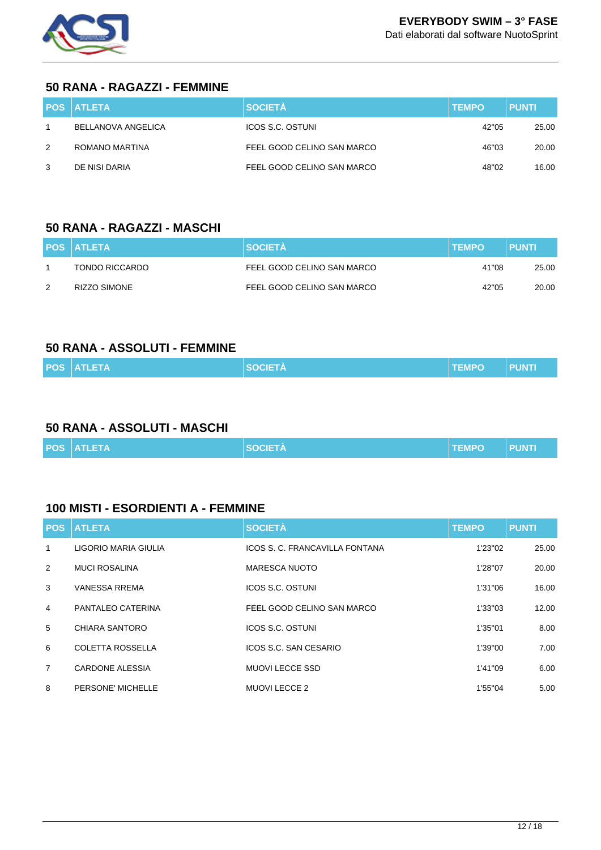

#### **50 RANA - RAGAZZI - FEMMINE**

|   | <b>POS ATLETA</b>  | <b>SOCIETÀ</b>             | <b>TEMPO</b> | <b>PUNTI</b> |
|---|--------------------|----------------------------|--------------|--------------|
|   | BELLANOVA ANGELICA | ICOS S.C. OSTUNI           | 42"05        | 25.00        |
| 2 | ROMANO MARTINA     | FEEL GOOD CELINO SAN MARCO | 46"03        | 20.00        |
| 3 | DE NISI DARIA      | FEEL GOOD CELINO SAN MARCO | 48"02        | 16.00        |

#### **50 RANA - RAGAZZI - MASCHI**

|               | <b>POS ATLETA</b>   | <b>SOCIETA</b>             | <b>TEMPO</b> | <b>PUNTI</b> |
|---------------|---------------------|----------------------------|--------------|--------------|
|               | TONDO RICCARDO      | FEEL GOOD CELINO SAN MARCO | 41"08        | 25.00        |
| $\mathcal{P}$ | <b>RIZZO SIMONE</b> | FEEL GOOD CELINO SAN MARCO | 42"05        | 20.00        |

#### **50 RANA - ASSOLUTI - FEMMINE**

|  |  | <b>POS ATLETA</b> | <b>SOCIETA</b> | <b>TEMPO</b> | <b>TPUNTK</b> |
|--|--|-------------------|----------------|--------------|---------------|
|--|--|-------------------|----------------|--------------|---------------|

## **50 RANA - ASSOLUTI - MASCHI**

|  |  | <b>POS ATLETA</b> | <b>SOCIETÀ</b> | <b>I TEMPO</b> | N PUNTN |
|--|--|-------------------|----------------|----------------|---------|
|--|--|-------------------|----------------|----------------|---------|

#### **100 MISTI - ESORDIENTI A - FEMMINE**

| <b>POS</b>     | <b>ATLETA</b>           | <b>SOCIETÀ</b>                 | <b>TEMPO</b> | <b>PUNTI</b> |
|----------------|-------------------------|--------------------------------|--------------|--------------|
| $\mathbf{1}$   | LIGORIO MARIA GIULIA    | ICOS S. C. FRANCAVILLA FONTANA | 1'23"02      | 25.00        |
| 2              | <b>MUCI ROSALINA</b>    | <b>MARESCA NUOTO</b>           | 1'28"07      | 20.00        |
| 3              | <b>VANESSA RREMA</b>    | ICOS S.C. OSTUNI               | 1'31"06      | 16.00        |
| 4              | PANTALEO CATERINA       | FEEL GOOD CELINO SAN MARCO     | 1'33"03      | 12.00        |
| 5              | CHIARA SANTORO          | <b>ICOS S.C. OSTUNI</b>        | 1'35"01      | 8.00         |
| 6              | <b>COLETTA ROSSELLA</b> | ICOS S.C. SAN CESARIO          | 1'39"00      | 7.00         |
| $\overline{7}$ | CARDONE ALESSIA         | <b>MUOVI LECCE SSD</b>         | 1'41"09      | 6.00         |
| 8              | PERSONE' MICHELLE       | <b>MUOVI LECCE 2</b>           | 1'55"04      | 5.00         |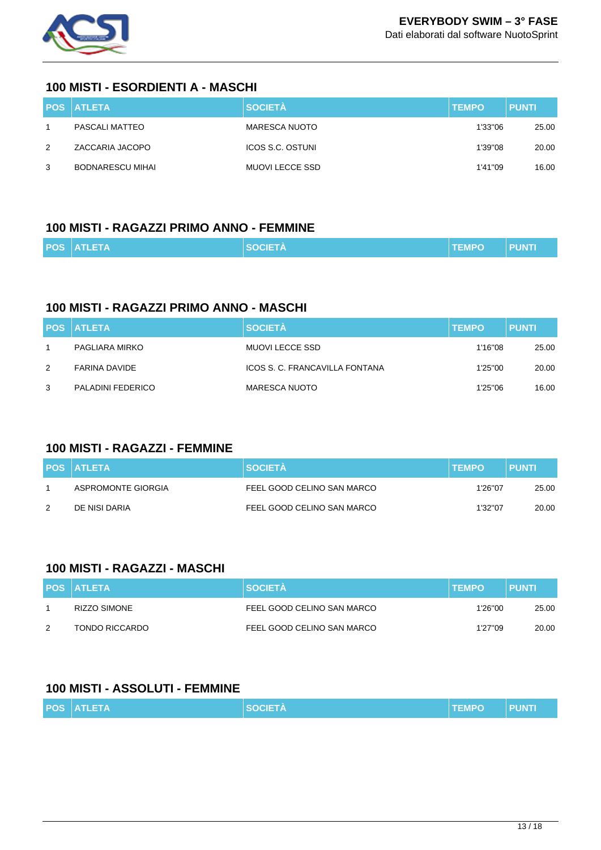

#### **100 MISTI - ESORDIENTI A - MASCHI**

|   | <b>POS ATLETA</b> | <b>SOCIETÀ</b>   | <b>TEMPO</b> | <b>PUNTI</b> |
|---|-------------------|------------------|--------------|--------------|
|   | PASCALI MATTEO    | MARESCA NUOTO    | 1'33"06      | 25.00        |
| 2 | ZACCARIA JACOPO   | ICOS S.C. OSTUNI | 1'39"08      | 20.00        |
| 3 | BODNARESCU MIHAI  | MUOVI LECCE SSD  | 1'41"09      | 16.00        |

#### **100 MISTI - RAGAZZI PRIMO ANNO - FEMMINE**

|  |  | <b>POS ATLETA</b> | <b>NI SOCIETÀ</b> | <b>ITEMPO</b> | <b>PUNTI</b> |
|--|--|-------------------|-------------------|---------------|--------------|
|--|--|-------------------|-------------------|---------------|--------------|

### **100 MISTI - RAGAZZI PRIMO ANNO - MASCHI**

|   | <b>POS ATLETA</b> | <b>SOCIETÀ</b>                 | <b>TEMPO</b> | <b>PUNTI</b> |
|---|-------------------|--------------------------------|--------------|--------------|
|   | PAGLIARA MIRKO    | MUOVI LECCE SSD                | 1'16"08      | 25.00        |
| 2 | FARINA DAVIDE     | ICOS S. C. FRANCAVILLA FONTANA | 1'25"00      | 20.00        |
| 3 | PALADINI FEDERICO | <b>MARESCA NUOTO</b>           | 1'25"06      | 16.00        |

### **100 MISTI - RAGAZZI - FEMMINE**

|   | <b>POS ATLETA</b>  | <b>SOCIETA</b>             | <b>ITEMPO</b> | <b>PUNTI</b> |
|---|--------------------|----------------------------|---------------|--------------|
|   | ASPROMONTE GIORGIA | FEEL GOOD CELINO SAN MARCO | 1'26"07       | 25.00        |
| 2 | DE NISI DARIA      | FEEL GOOD CELINO SAN MARCO | 1'32"07       | 20.00        |

#### **100 MISTI - RAGAZZI - MASCHI**

|   | <b>POS ATLETA</b>   | <b>SOCIETA</b>             | <b>TEMPO</b> | <b>PUNTI</b> |
|---|---------------------|----------------------------|--------------|--------------|
|   | <b>RIZZO SIMONE</b> | FEEL GOOD CELINO SAN MARCO | 1'26"00      | 25.00        |
| 2 | TONDO RICCARDO      | FEEL GOOD CELINO SAN MARCO | 1'27"09      | 20.00        |

### **100 MISTI - ASSOLUTI - FEMMINE**

|  |  | <b>POS ATLETA</b> | <b>SOCIETA</b> | <b>TEMPO</b> | <b>PUNT</b> |
|--|--|-------------------|----------------|--------------|-------------|
|--|--|-------------------|----------------|--------------|-------------|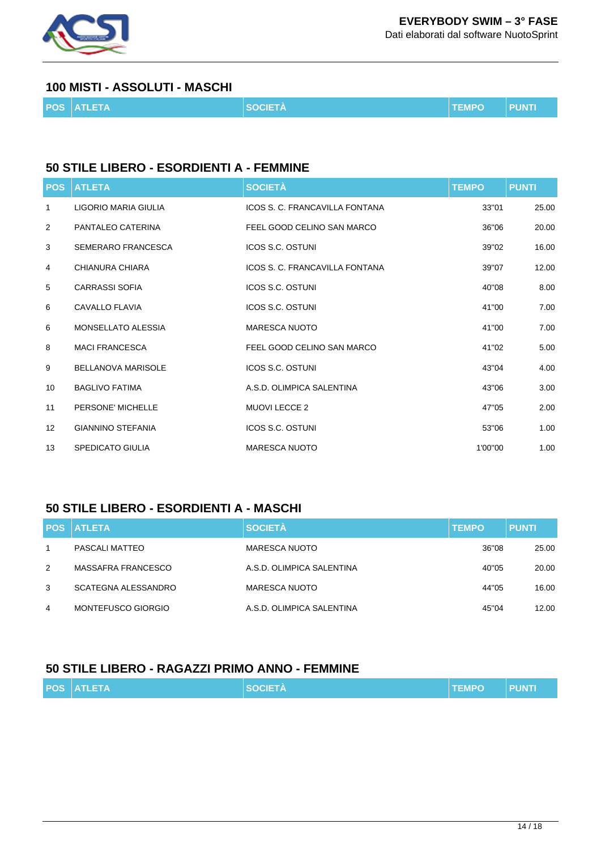

Dati elaborati dal software NuotoSprint

#### **100 MISTI - ASSOLUTI - MASCHI**

|  |  | <b>POS ATLETA</b> | <b>SOCIETÀ</b> | <b>TEMPO</b> | ll PUNTI |
|--|--|-------------------|----------------|--------------|----------|
|--|--|-------------------|----------------|--------------|----------|

#### **50 STILE LIBERO - ESORDIENTI A - FEMMINE**

| <b>POS</b> | <b>ATLETA</b>             | <b>SOCIETÀ</b>                 | <b>TEMPO</b> | <b>PUNTI</b> |
|------------|---------------------------|--------------------------------|--------------|--------------|
| 1          | LIGORIO MARIA GIULIA      | ICOS S. C. FRANCAVILLA FONTANA | 33"01        | 25.00        |
| 2          | PANTALEO CATERINA         | FEEL GOOD CELINO SAN MARCO     | 36"06        | 20.00        |
| 3          | SEMERARO FRANCESCA        | <b>ICOS S.C. OSTUNI</b>        | 39"02        | 16.00        |
| 4          | CHIANURA CHIARA           | ICOS S. C. FRANCAVILLA FONTANA | 39"07        | 12.00        |
| 5          | <b>CARRASSI SOFIA</b>     | <b>ICOS S.C. OSTUNI</b>        | 40"08        | 8.00         |
| 6          | <b>CAVALLO FLAVIA</b>     | <b>ICOS S.C. OSTUNI</b>        | 41"00        | 7.00         |
| 6          | MONSELLATO ALESSIA        | <b>MARESCA NUOTO</b>           | 41"00        | 7.00         |
| 8          | <b>MACI FRANCESCA</b>     | FEEL GOOD CELINO SAN MARCO     | 41"02        | 5.00         |
| 9          | <b>BELLANOVA MARISOLE</b> | <b>ICOS S.C. OSTUNI</b>        | 43"04        | 4.00         |
| 10         | <b>BAGLIVO FATIMA</b>     | A.S.D. OLIMPICA SALENTINA      | 43"06        | 3.00         |
| 11         | PERSONE' MICHELLE         | <b>MUOVI LECCE 2</b>           | 47"05        | 2.00         |
| 12         | <b>GIANNINO STEFANIA</b>  | ICOS S.C. OSTUNI               | 53"06        | 1.00         |
| 13         | <b>SPEDICATO GIULIA</b>   | <b>MARESCA NUOTO</b>           | 1'00"00      | 1.00         |

## **50 STILE LIBERO - ESORDIENTI A - MASCHI**

|   | <b>POS ATLETA</b>          | <b>SOCIETÀ</b>            | <b>TEMPO</b> | <b>PUNTI</b> |
|---|----------------------------|---------------------------|--------------|--------------|
|   | PASCALI MATTEO             | <b>MARESCA NUOTO</b>      | 36"08        | 25.00        |
| 2 | MASSAFRA FRANCESCO         | A.S.D. OLIMPICA SALENTINA | 40"05        | 20.00        |
| 3 | <b>SCATEGNA ALESSANDRO</b> | <b>MARESCA NUOTO</b>      | 44"05        | 16.00        |
| 4 | MONTEFUSCO GIORGIO         | A.S.D. OLIMPICA SALENTINA | 45"04        | 12.00        |

## **50 STILE LIBERO - RAGAZZI PRIMO ANNO - FEMMINE**

| <b>POS ATLETA</b> | <b>SOCIETÀ</b> | <b>TEMPO</b> | <b>PUNT</b> |
|-------------------|----------------|--------------|-------------|
|                   |                |              |             |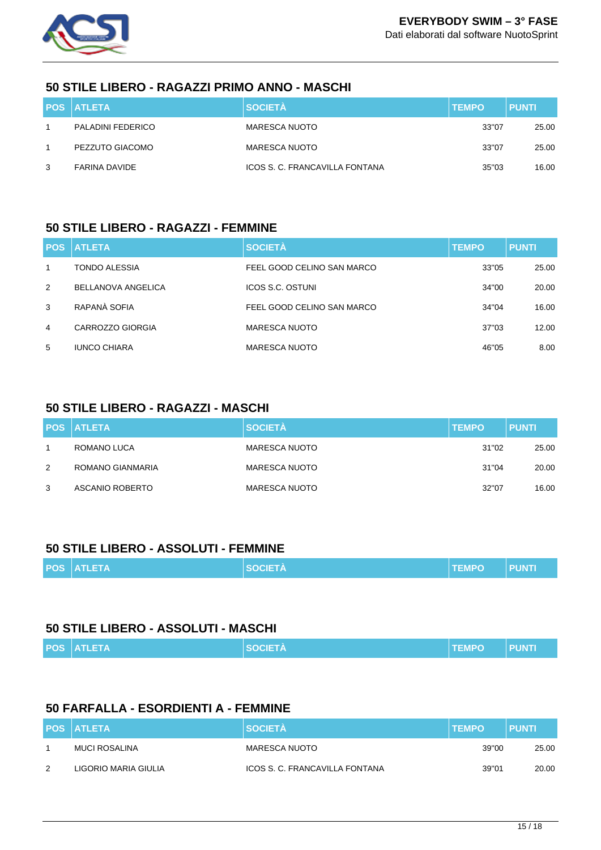

#### **50 STILE LIBERO - RAGAZZI PRIMO ANNO - MASCHI**

|   | <b>POS ATLETA</b>    | <b>SOCIETÀ</b>                 | <b>TEMPO</b> | <b>PUNTI</b> |
|---|----------------------|--------------------------------|--------------|--------------|
|   | PALADINI FEDERICO    | MARESCA NUOTO                  | 33"07        | 25.00        |
|   | PEZZUTO GIACOMO      | MARESCA NUOTO                  | 33"07        | 25.00        |
| 3 | <b>FARINA DAVIDE</b> | ICOS S. C. FRANCAVILLA FONTANA | 35"03        | 16.00        |

#### **50 STILE LIBERO - RAGAZZI - FEMMINE**

|                | <b>POS ATLETA</b>   | <b>SOCIETÀ</b>             | <b>TEMPO</b> | <b>PUNTI</b> |
|----------------|---------------------|----------------------------|--------------|--------------|
| $\mathbf{1}$   | TONDO ALESSIA       | FEEL GOOD CELINO SAN MARCO | 33"05        | 25.00        |
| 2              | BELLANOVA ANGELICA  | <b>ICOS S.C. OSTUNI</b>    | 34"00        | 20.00        |
| 3              | RAPANÀ SOFIA        | FEEL GOOD CELINO SAN MARCO | 34"04        | 16.00        |
| $\overline{4}$ | CARROZZO GIORGIA    | <b>MARESCA NUOTO</b>       | 37"03        | 12.00        |
| 5              | <b>IUNCO CHIARA</b> | <b>MARESCA NUOTO</b>       | 46"05        | 8.00         |

## **50 STILE LIBERO - RAGAZZI - MASCHI**

|   | <b>POS ATLETA</b> | <b>SOCIETÀ</b>       | <b>TEMPO</b> | <b>PUNTI</b> |
|---|-------------------|----------------------|--------------|--------------|
|   | ROMANO LUCA       | <b>MARESCA NUOTO</b> | 31"02        | 25.00        |
| 2 | ROMANO GIANMARIA  | <b>MARESCA NUOTO</b> | 31"04        | 20.00        |
| 3 | ASCANIO ROBERTO   | <b>MARESCA NUOTO</b> | 32"07        | 16.00        |

#### **50 STILE LIBERO - ASSOLUTI - FEMMINE**

| <b>POS ATLETA</b> | <b>SOCIETA</b> | <b>TEMPO</b> | <b>PUNTI</b> |
|-------------------|----------------|--------------|--------------|
|                   |                |              |              |

#### **50 STILE LIBERO - ASSOLUTI - MASCHI**

|  | <b>POS ATLETA</b> | <b>SOCIETÀ</b> | <b>TEMPO</b> | <b>Example 19 PUNTI</b> |
|--|-------------------|----------------|--------------|-------------------------|
|--|-------------------|----------------|--------------|-------------------------|

## **50 FARFALLA - ESORDIENTI A - FEMMINE**

|   | <b>POS ATLETA</b>    | <b>SOCIETA</b>                 | <b>TEMPO</b> | <b>PUNTI</b> |
|---|----------------------|--------------------------------|--------------|--------------|
|   | MUCI ROSALINA        | MARESCA NUOTO                  | 39"00        | 25.00        |
| 2 | LIGORIO MARIA GIULIA | ICOS S. C. FRANCAVILLA FONTANA | 39"01        | 20.00        |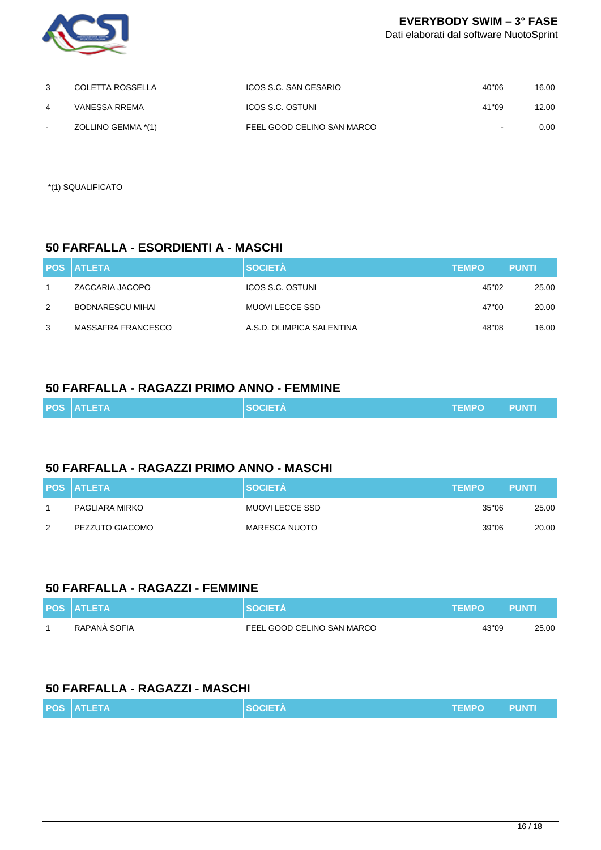

Dati elaborati dal software NuotoSprint

|   | COLETTA ROSSELLA   | ICOS S.C. SAN CESARIO      | 40"06  | 16.00 |
|---|--------------------|----------------------------|--------|-------|
| 4 | VANESSA RREMA      | ICOS S.C. OSTUNI           | 41"09  | 12.00 |
|   | ZOLLINO GEMMA *(1) | FEEL GOOD CELINO SAN MARCO | $\sim$ | 0.00  |

\*(1) SQUALIFICATO

#### **50 FARFALLA - ESORDIENTI A - MASCHI**

|   | <b>POS ATLETA</b>       | <b>SOCIETÀ</b>            | <b>TEMPO</b> | <b>PUNTI</b> |
|---|-------------------------|---------------------------|--------------|--------------|
|   | ZACCARIA JACOPO         | ICOS S.C. OSTUNI          | 45"02        | 25.00        |
| 2 | <b>BODNARESCU MIHAI</b> | MUOVI LECCE SSD           | 47"00        | 20.00        |
| 3 | MASSAFRA FRANCESCO      | A.S.D. OLIMPICA SALENTINA | 48"08        | 16.00        |

#### **50 FARFALLA - RAGAZZI PRIMO ANNO - FEMMINE**

| <b>POS ATLETA</b> | <b>SOCIETÀ</b> | <b>TEMPO</b> | <b>PUNTI</b> |
|-------------------|----------------|--------------|--------------|
|                   |                |              |              |

## **50 FARFALLA - RAGAZZI PRIMO ANNO - MASCHI**

|   | <b>POS ATLETA</b> | <b>SOCIETÀ</b>  | <b>TEMPO</b> | <b>PUNTI</b> |
|---|-------------------|-----------------|--------------|--------------|
|   | PAGLIARA MIRKO    | MUOVI LECCE SSD | 35"06        | 25.00        |
| 2 | PEZZUTO GIACOMO   | MARESCA NUOTO   | 39"06        | 20.00        |

#### **50 FARFALLA - RAGAZZI - FEMMINE**

| <b>POS ATLETA</b> | <b>SOCIETÀ</b>             | <b>TEMPO</b> | <b>PUNT</b> |
|-------------------|----------------------------|--------------|-------------|
| RAPANÀ SOFIA      | FEEL GOOD CELINO SAN MARCO | 43"09        | 25.00       |

## **50 FARFALLA - RAGAZZI - MASCHI**

|  |  | <b>POS ATLETA</b> | <b>SOCIETA</b> | <b>I TEMPO</b> | <b>PUNTI</b> |
|--|--|-------------------|----------------|----------------|--------------|
|--|--|-------------------|----------------|----------------|--------------|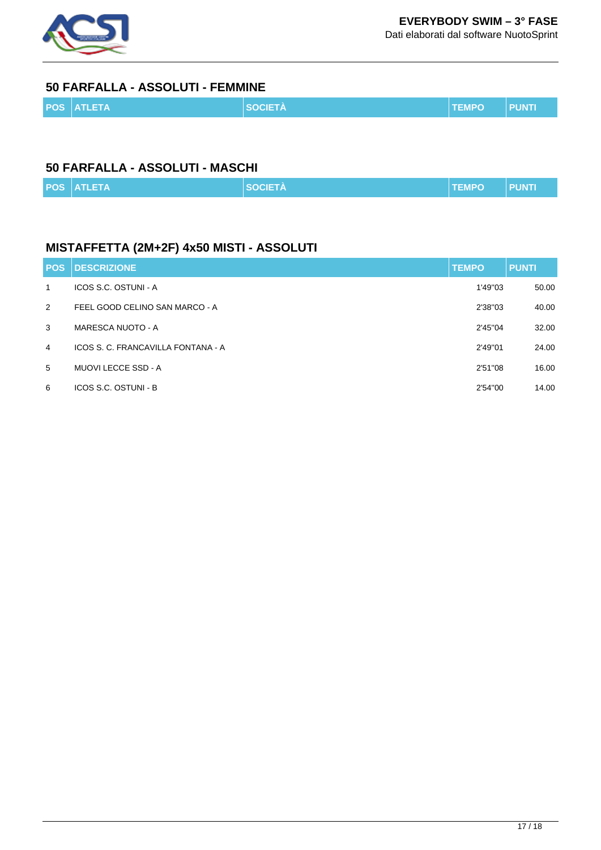

Dati elaborati dal software NuotoSprint

### **50 FARFALLA - ASSOLUTI - FEMMINE**

| <b>POS ATLETA</b> | <b>SOCIETÀ</b> | <b>TEMPO</b> | <b>PUNTI</b> |
|-------------------|----------------|--------------|--------------|
|                   |                |              |              |

## **50 FARFALLA - ASSOLUTI - MASCHI**

|  | <b>POS ATLETA</b> | <b>SOCIETA</b> | <b>TEMPO</b> | 'I PUNTI |
|--|-------------------|----------------|--------------|----------|
|--|-------------------|----------------|--------------|----------|

## **MISTAFFETTA (2M+2F) 4x50 MISTI - ASSOLUTI**

| <b>POS</b>     | <b>DESCRIZIONE</b>                 | <b>TEMPO</b> | <b>PUNTI</b> |
|----------------|------------------------------------|--------------|--------------|
| 1              | ICOS S.C. OSTUNI - A               | 1'49"03      | 50.00        |
| 2              | FEEL GOOD CELINO SAN MARCO - A     | 2'38"03      | 40.00        |
| 3              | MARESCA NUOTO - A                  | 2'45"04      | 32.00        |
| $\overline{4}$ | ICOS S. C. FRANCAVILLA FONTANA - A | 2'49"01      | 24.00        |
| 5              | MUOVI LECCE SSD - A                | 2'51"08      | 16.00        |
| 6              | ICOS S.C. OSTUNI - B               | 2'54"00      | 14.00        |